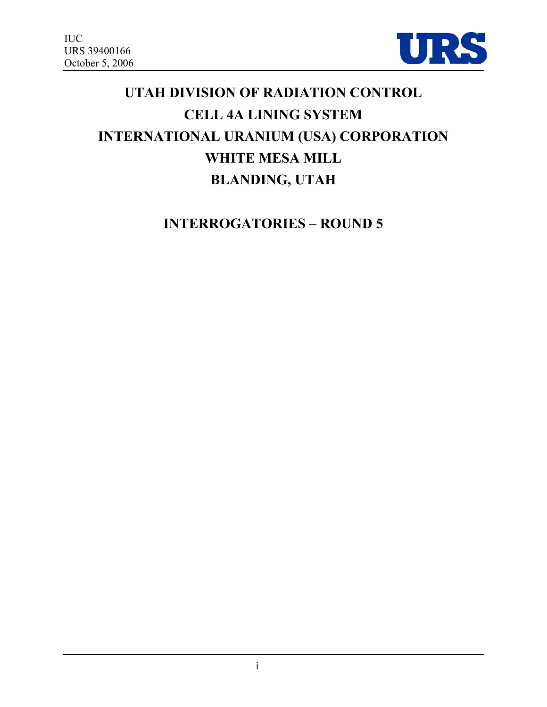

# **UTAH DIVISION OF RADIATION CONTROL CELL 4A LINING SYSTEM INTERNATIONAL URANIUM (USA) CORPORATION WHITE MESA MILL BLANDING, UTAH**

**INTERROGATORIES – ROUND 5**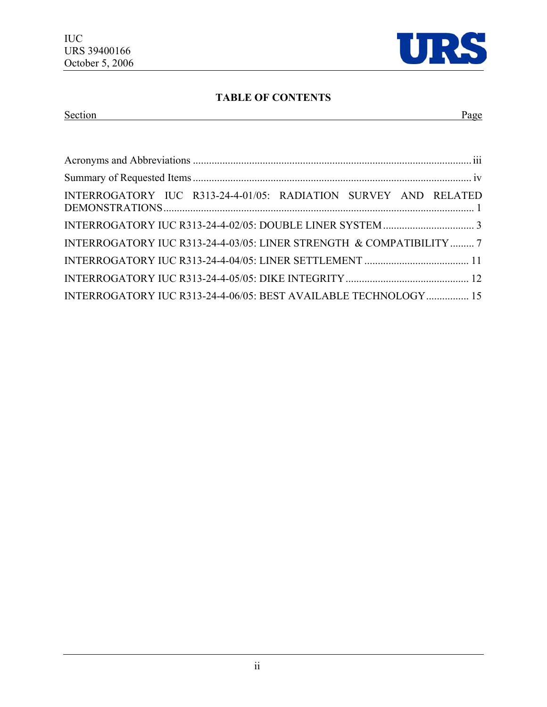

# **TABLE OF CONTENTS**

# Section Page

| INTERROGATORY IUC R313-24-4-01/05: RADIATION SURVEY AND RELATED      |
|----------------------------------------------------------------------|
|                                                                      |
| INTERROGATORY IUC R313-24-4-03/05: LINER STRENGTH & COMPATIBILITY  7 |
|                                                                      |
|                                                                      |
| INTERROGATORY IUC R313-24-4-06/05: BEST AVAILABLE TECHNOLOGY 15      |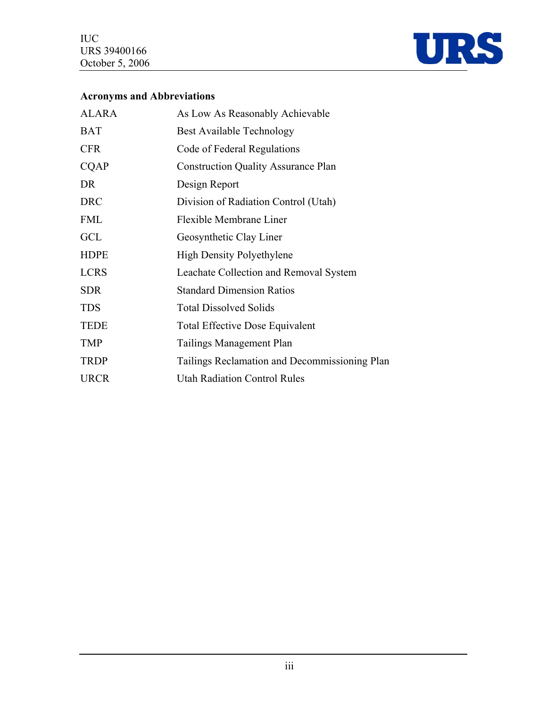

# **Acronyms and Abbreviations**

| <b>ALARA</b> | As Low As Reasonably Achievable               |
|--------------|-----------------------------------------------|
| <b>BAT</b>   | <b>Best Available Technology</b>              |
| <b>CFR</b>   | Code of Federal Regulations                   |
| <b>CQAP</b>  | <b>Construction Quality Assurance Plan</b>    |
| DR           | Design Report                                 |
| <b>DRC</b>   | Division of Radiation Control (Utah)          |
| <b>FML</b>   | Flexible Membrane Liner                       |
| GCL          | Geosynthetic Clay Liner                       |
| <b>HDPE</b>  | <b>High Density Polyethylene</b>              |
| <b>LCRS</b>  | Leachate Collection and Removal System        |
| <b>SDR</b>   | <b>Standard Dimension Ratios</b>              |
| <b>TDS</b>   | <b>Total Dissolved Solids</b>                 |
| <b>TEDE</b>  | <b>Total Effective Dose Equivalent</b>        |
| <b>TMP</b>   | Tailings Management Plan                      |
| <b>TRDP</b>  | Tailings Reclamation and Decommissioning Plan |
| <b>URCR</b>  | <b>Utah Radiation Control Rules</b>           |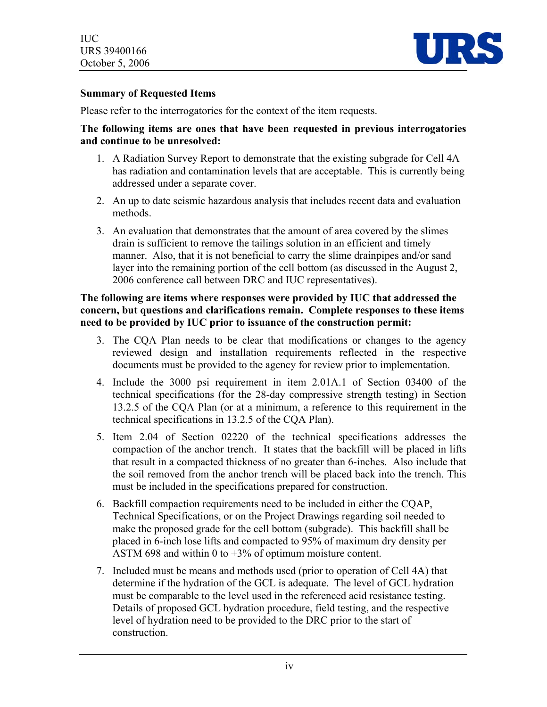

#### **Summary of Requested Items**

Please refer to the interrogatories for the context of the item requests.

#### **The following items are ones that have been requested in previous interrogatories and continue to be unresolved:**

- 1. A Radiation Survey Report to demonstrate that the existing subgrade for Cell 4A has radiation and contamination levels that are acceptable. This is currently being addressed under a separate cover.
- 2. An up to date seismic hazardous analysis that includes recent data and evaluation methods.
- 3. An evaluation that demonstrates that the amount of area covered by the slimes drain is sufficient to remove the tailings solution in an efficient and timely manner. Also, that it is not beneficial to carry the slime drainpipes and/or sand layer into the remaining portion of the cell bottom (as discussed in the August 2, 2006 conference call between DRC and IUC representatives).

#### **The following are items where responses were provided by IUC that addressed the concern, but questions and clarifications remain. Complete responses to these items need to be provided by IUC prior to issuance of the construction permit:**

- 3. The CQA Plan needs to be clear that modifications or changes to the agency reviewed design and installation requirements reflected in the respective documents must be provided to the agency for review prior to implementation.
- 4. Include the 3000 psi requirement in item 2.01A.1 of Section 03400 of the technical specifications (for the 28-day compressive strength testing) in Section 13.2.5 of the CQA Plan (or at a minimum, a reference to this requirement in the technical specifications in 13.2.5 of the CQA Plan).
- 5. Item 2.04 of Section 02220 of the technical specifications addresses the compaction of the anchor trench. It states that the backfill will be placed in lifts that result in a compacted thickness of no greater than 6-inches. Also include that the soil removed from the anchor trench will be placed back into the trench. This must be included in the specifications prepared for construction.
- 6. Backfill compaction requirements need to be included in either the CQAP, Technical Specifications, or on the Project Drawings regarding soil needed to make the proposed grade for the cell bottom (subgrade). This backfill shall be placed in 6-inch lose lifts and compacted to 95% of maximum dry density per ASTM 698 and within 0 to +3% of optimum moisture content.
- 7. Included must be means and methods used (prior to operation of Cell 4A) that determine if the hydration of the GCL is adequate. The level of GCL hydration must be comparable to the level used in the referenced acid resistance testing. Details of proposed GCL hydration procedure, field testing, and the respective level of hydration need to be provided to the DRC prior to the start of construction.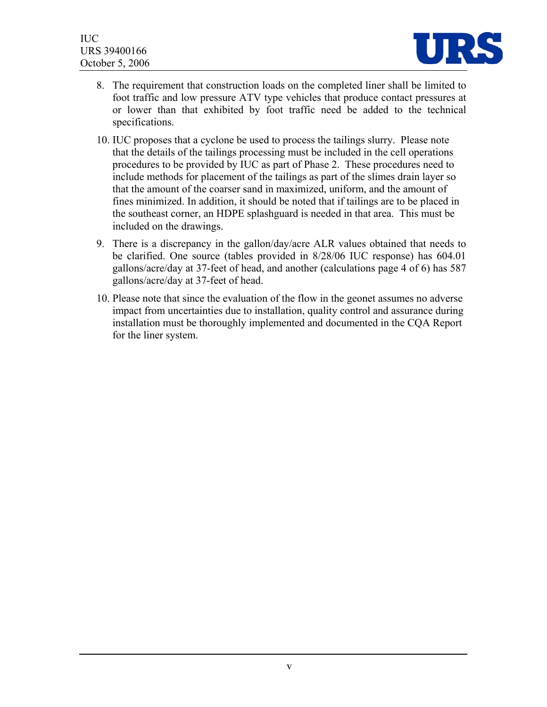

- 8. The requirement that construction loads on the completed liner shall be limited to foot traffic and low pressure ATV type vehicles that produce contact pressures at or lower than that exhibited by foot traffic need be added to the technical specifications.
- 10. IUC proposes that a cyclone be used to process the tailings slurry. Please note that the details of the tailings processing must be included in the cell operations procedures to be provided by IUC as part of Phase 2. These procedures need to include methods for placement of the tailings as part of the slimes drain layer so that the amount of the coarser sand in maximized, uniform, and the amount of fines minimized. In addition, it should be noted that if tailings are to be placed in the southeast corner, an HDPE splashguard is needed in that area. This must be included on the drawings.
- 9. There is a discrepancy in the gallon/day/acre ALR values obtained that needs to be clarified. One source (tables provided in 8/28/06 IUC response) has 604.01 gallons/acre/day at 37-feet of head, and another (calculations page 4 of 6) has 587 gallons/acre/day at 37-feet of head.
- 10. Please note that since the evaluation of the flow in the geonet assumes no adverse impact from uncertainties due to installation, quality control and assurance during installation must be thoroughly implemented and documented in the CQA Report for the liner system.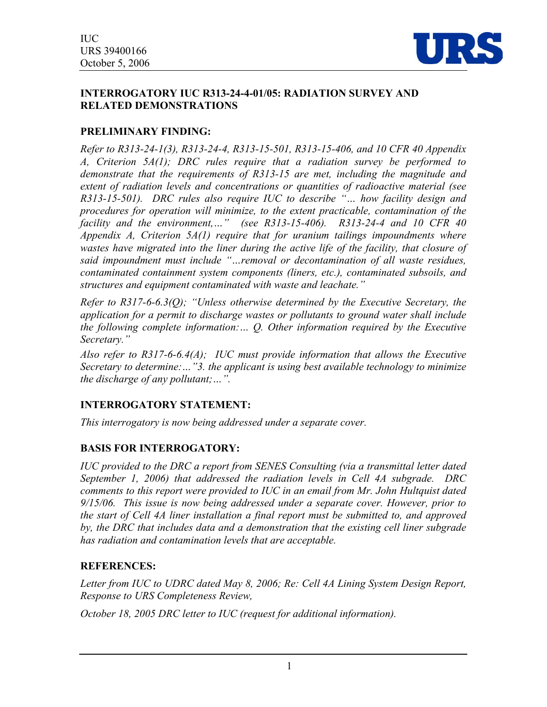

#### **INTERROGATORY IUC R313-24-4-01/05: RADIATION SURVEY AND RELATED DEMONSTRATIONS**

## **PRELIMINARY FINDING:**

*Refer to R313-24-1(3), R313-24-4, R313-15-501, R313-15-406, and 10 CFR 40 Appendix A, Criterion 5A(1); DRC rules require that a radiation survey be performed to demonstrate that the requirements of R313-15 are met, including the magnitude and extent of radiation levels and concentrations or quantities of radioactive material (see R313-15-501). DRC rules also require IUC to describe "… how facility design and procedures for operation will minimize, to the extent practicable, contamination of the facility and the environment,…" (see R313-15-406). R313-24-4 and 10 CFR 40 Appendix A, Criterion 5A(1) require that for uranium tailings impoundments where*  wastes have migrated into the liner during the active life of the facility, that closure of *said impoundment must include "…removal or decontamination of all waste residues, contaminated containment system components (liners, etc.), contaminated subsoils, and structures and equipment contaminated with waste and leachate."* 

*Refer to R317-6-6.3(Q); "Unless otherwise determined by the Executive Secretary, the application for a permit to discharge wastes or pollutants to ground water shall include the following complete information:… Q. Other information required by the Executive Secretary."* 

*Also refer to R317-6-6.4(A); IUC must provide information that allows the Executive Secretary to determine:…"3. the applicant is using best available technology to minimize the discharge of any pollutant;…".* 

# **INTERROGATORY STATEMENT:**

*This interrogatory is now being addressed under a separate cover.* 

# **BASIS FOR INTERROGATORY:**

*IUC provided to the DRC a report from SENES Consulting (via a transmittal letter dated September 1, 2006) that addressed the radiation levels in Cell 4A subgrade. DRC comments to this report were provided to IUC in an email from Mr. John Hultquist dated 9/15/06. This issue is now being addressed under a separate cover. However, prior to the start of Cell 4A liner installation a final report must be submitted to, and approved by, the DRC that includes data and a demonstration that the existing cell liner subgrade has radiation and contamination levels that are acceptable.* 

#### **REFERENCES:**

*Letter from IUC to UDRC dated May 8, 2006; Re: Cell 4A Lining System Design Report, Response to URS Completeness Review,* 

*October 18, 2005 DRC letter to IUC (request for additional information).*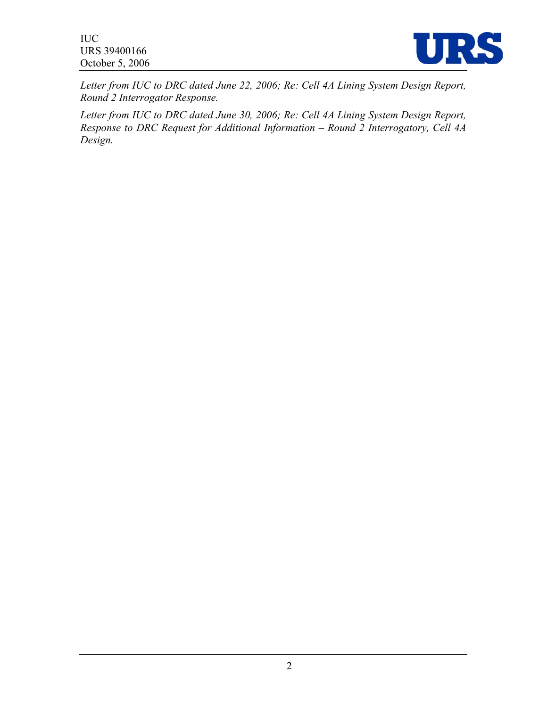IUC URS 39400166 October 5, 2006



*Letter from IUC to DRC dated June 22, 2006; Re: Cell 4A Lining System Design Report, Round 2 Interrogator Response.* 

*Letter from IUC to DRC dated June 30, 2006; Re: Cell 4A Lining System Design Report, Response to DRC Request for Additional Information – Round 2 Interrogatory, Cell 4A Design.*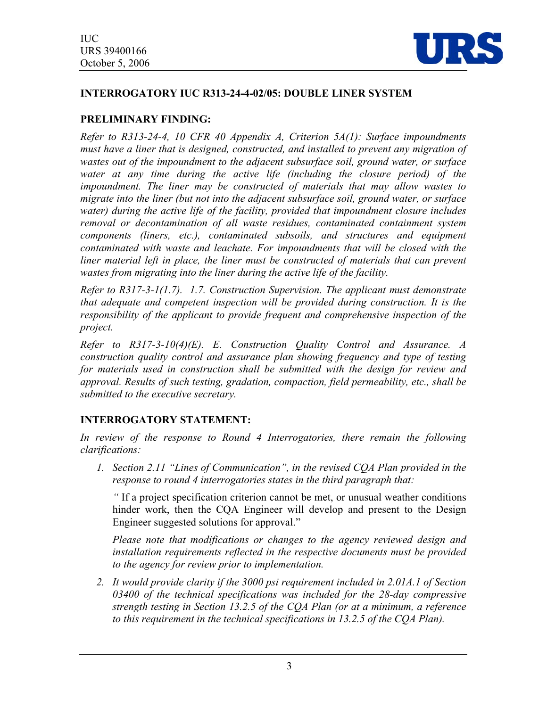

#### **INTERROGATORY IUC R313-24-4-02/05: DOUBLE LINER SYSTEM**

## **PRELIMINARY FINDING:**

*Refer to R313-24-4, 10 CFR 40 Appendix A, Criterion 5A(1): Surface impoundments must have a liner that is designed, constructed, and installed to prevent any migration of wastes out of the impoundment to the adjacent subsurface soil, ground water, or surface*  water at any time during the active life (including the closure period) of the *impoundment. The liner may be constructed of materials that may allow wastes to migrate into the liner (but not into the adjacent subsurface soil, ground water, or surface water) during the active life of the facility, provided that impoundment closure includes removal or decontamination of all waste residues, contaminated containment system components (liners, etc.), contaminated subsoils, and structures and equipment contaminated with waste and leachate. For impoundments that will be closed with the*  liner material left in place, the liner must be constructed of materials that can prevent *wastes from migrating into the liner during the active life of the facility.* 

*Refer to R317-3-1(1.7). 1.7. Construction Supervision. The applicant must demonstrate that adequate and competent inspection will be provided during construction. It is the responsibility of the applicant to provide frequent and comprehensive inspection of the project.* 

*Refer to R317-3-10(4)(E). E. Construction Quality Control and Assurance. A construction quality control and assurance plan showing frequency and type of testing for materials used in construction shall be submitted with the design for review and approval. Results of such testing, gradation, compaction, field permeability, etc., shall be submitted to the executive secretary.* 

# **INTERROGATORY STATEMENT:**

In review of the response to Round 4 Interrogatories, there remain the following *clarifications:* 

*1. Section 2.11 "Lines of Communication", in the revised CQA Plan provided in the response to round 4 interrogatories states in the third paragraph that:* 

*"* If a project specification criterion cannot be met, or unusual weather conditions hinder work, then the CQA Engineer will develop and present to the Design Engineer suggested solutions for approval."

*Please note that modifications or changes to the agency reviewed design and installation requirements reflected in the respective documents must be provided to the agency for review prior to implementation.* 

*2. It would provide clarity if the 3000 psi requirement included in 2.01A.1 of Section 03400 of the technical specifications was included for the 28-day compressive strength testing in Section 13.2.5 of the CQA Plan (or at a minimum, a reference to this requirement in the technical specifications in 13.2.5 of the CQA Plan).*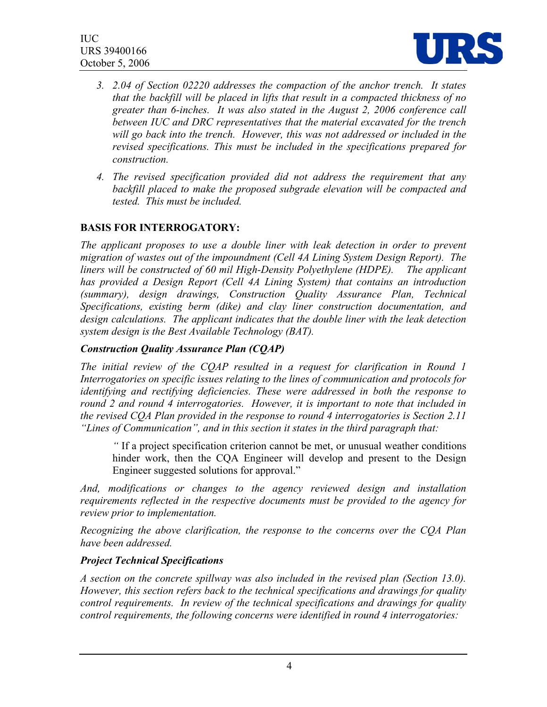

- *3. 2.04 of Section 02220 addresses the compaction of the anchor trench. It states that the backfill will be placed in lifts that result in a compacted thickness of no greater than 6-inches. It was also stated in the August 2, 2006 conference call between IUC and DRC representatives that the material excavated for the trench*  will go back into the trench. However, this was not addressed or included in the *revised specifications. This must be included in the specifications prepared for construction.*
- *4. The revised specification provided did not address the requirement that any backfill placed to make the proposed subgrade elevation will be compacted and tested. This must be included.*

# **BASIS FOR INTERROGATORY:**

*The applicant proposes to use a double liner with leak detection in order to prevent migration of wastes out of the impoundment (Cell 4A Lining System Design Report). The liners will be constructed of 60 mil High-Density Polyethylene (HDPE). The applicant has provided a Design Report (Cell 4A Lining System) that contains an introduction (summary), design drawings, Construction Quality Assurance Plan, Technical Specifications, existing berm (dike) and clay liner construction documentation, and design calculations. The applicant indicates that the double liner with the leak detection system design is the Best Available Technology (BAT).* 

## *Construction Quality Assurance Plan (CQAP)*

*The initial review of the CQAP resulted in a request for clarification in Round 1 Interrogatories on specific issues relating to the lines of communication and protocols for identifying and rectifying deficiencies. These were addressed in both the response to round 2 and round 4 interrogatories. However, it is important to note that included in the revised CQA Plan provided in the response to round 4 interrogatories is Section 2.11 "Lines of Communication", and in this section it states in the third paragraph that:* 

*"* If a project specification criterion cannot be met, or unusual weather conditions hinder work, then the CQA Engineer will develop and present to the Design Engineer suggested solutions for approval."

*And, modifications or changes to the agency reviewed design and installation requirements reflected in the respective documents must be provided to the agency for review prior to implementation.* 

*Recognizing the above clarification, the response to the concerns over the CQA Plan have been addressed.*

#### *Project Technical Specifications*

*A section on the concrete spillway was also included in the revised plan (Section 13.0). However, this section refers back to the technical specifications and drawings for quality control requirements. In review of the technical specifications and drawings for quality control requirements, the following concerns were identified in round 4 interrogatories:*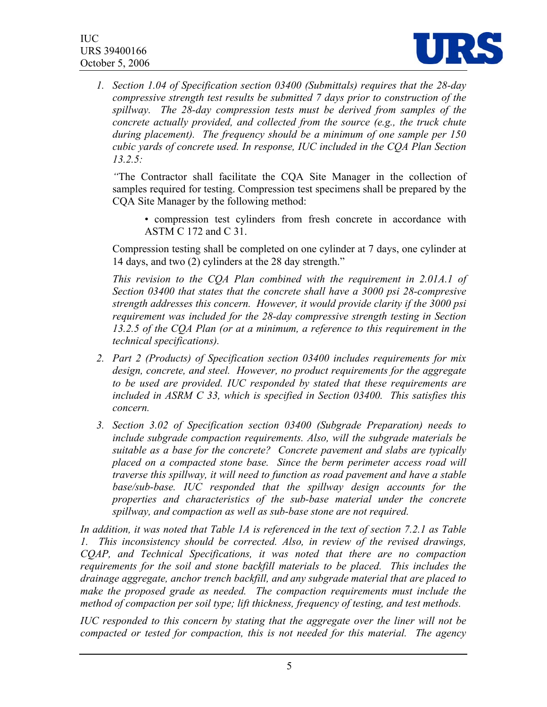

*1. Section 1.04 of Specification section 03400 (Submittals) requires that the 28-day compressive strength test results be submitted 7 days prior to construction of the spillway. The 28-day compression tests must be derived from samples of the concrete actually provided, and collected from the source (e.g., the truck chute during placement). The frequency should be a minimum of one sample per 150 cubic yards of concrete used. In response, IUC included in the CQA Plan Section 13.2.5:* 

*"*The Contractor shall facilitate the CQA Site Manager in the collection of samples required for testing. Compression test specimens shall be prepared by the CQA Site Manager by the following method:

• compression test cylinders from fresh concrete in accordance with ASTM C 172 and C 31.

Compression testing shall be completed on one cylinder at 7 days, one cylinder at 14 days, and two (2) cylinders at the 28 day strength."

*This revision to the CQA Plan combined with the requirement in 2.01A.1 of Section 03400 that states that the concrete shall have a 3000 psi 28-compresive strength addresses this concern. However, it would provide clarity if the 3000 psi requirement was included for the 28-day compressive strength testing in Section 13.2.5 of the CQA Plan (or at a minimum, a reference to this requirement in the technical specifications).* 

- *2. Part 2 (Products) of Specification section 03400 includes requirements for mix design, concrete, and steel. However, no product requirements for the aggregate to be used are provided. IUC responded by stated that these requirements are included in ASRM C 33, which is specified in Section 03400. This satisfies this concern.*
- *3. Section 3.02 of Specification section 03400 (Subgrade Preparation) needs to include subgrade compaction requirements. Also, will the subgrade materials be suitable as a base for the concrete? Concrete pavement and slabs are typically placed on a compacted stone base. Since the berm perimeter access road will traverse this spillway, it will need to function as road pavement and have a stable base/sub-base. IUC responded that the spillway design accounts for the properties and characteristics of the sub-base material under the concrete spillway, and compaction as well as sub-base stone are not required.*

*In addition, it was noted that Table 1A is referenced in the text of section 7.2.1 as Table 1. This inconsistency should be corrected. Also, in review of the revised drawings, CQAP, and Technical Specifications, it was noted that there are no compaction*  requirements for the soil and stone backfill materials to be placed. This includes the *drainage aggregate, anchor trench backfill, and any subgrade material that are placed to*  make the proposed grade as needed. The compaction requirements must include the *method of compaction per soil type; lift thickness, frequency of testing, and test methods.* 

*IUC responded to this concern by stating that the aggregate over the liner will not be compacted or tested for compaction, this is not needed for this material. The agency*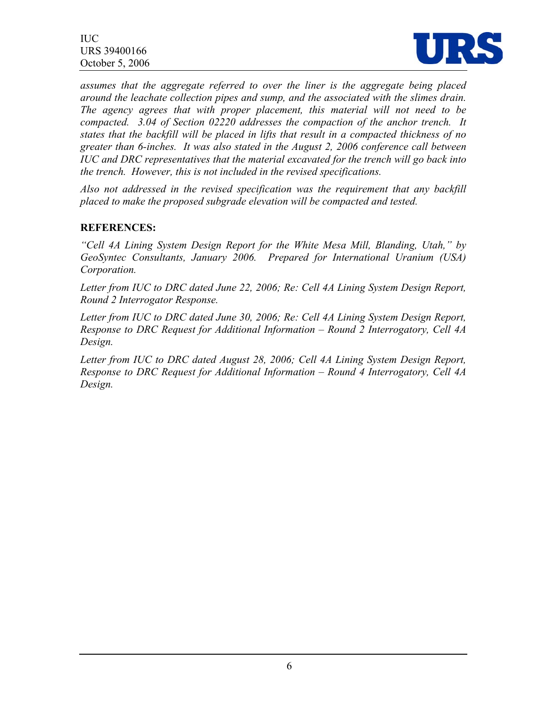IUC URS 39400166 October 5, 2006



*assumes that the aggregate referred to over the liner is the aggregate being placed around the leachate collection pipes and sump, and the associated with the slimes drain. The agency agrees that with proper placement, this material will not need to be compacted. 3.04 of Section 02220 addresses the compaction of the anchor trench. It states that the backfill will be placed in lifts that result in a compacted thickness of no greater than 6-inches. It was also stated in the August 2, 2006 conference call between IUC and DRC representatives that the material excavated for the trench will go back into the trench. However, this is not included in the revised specifications.* 

*Also not addressed in the revised specification was the requirement that any backfill placed to make the proposed subgrade elevation will be compacted and tested.* 

#### **REFERENCES:**

*"Cell 4A Lining System Design Report for the White Mesa Mill, Blanding, Utah," by GeoSyntec Consultants, January 2006. Prepared for International Uranium (USA) Corporation.*

*Letter from IUC to DRC dated June 22, 2006; Re: Cell 4A Lining System Design Report, Round 2 Interrogator Response.* 

*Letter from IUC to DRC dated June 30, 2006; Re: Cell 4A Lining System Design Report, Response to DRC Request for Additional Information – Round 2 Interrogatory, Cell 4A Design.* 

*Letter from IUC to DRC dated August 28, 2006; Cell 4A Lining System Design Report, Response to DRC Request for Additional Information – Round 4 Interrogatory, Cell 4A Design.*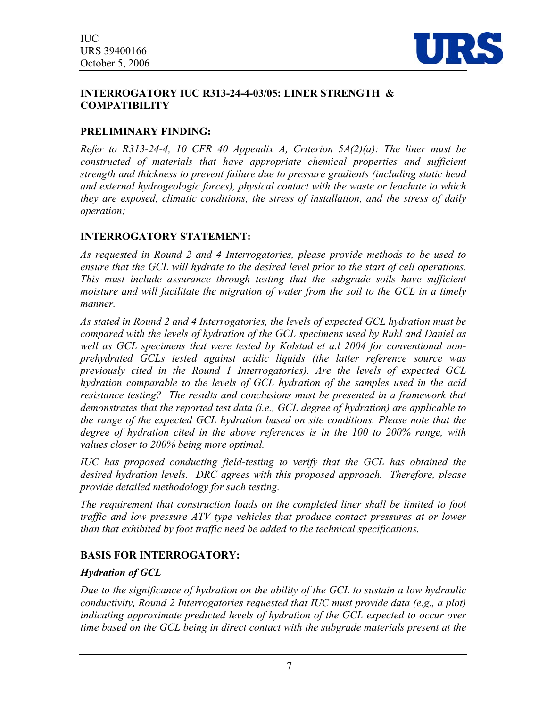

#### **INTERROGATORY IUC R313-24-4-03/05: LINER STRENGTH & COMPATIBILITY**

# **PRELIMINARY FINDING:**

*Refer to R313-24-4, 10 CFR 40 Appendix A, Criterion 5A(2)(a): The liner must be constructed of materials that have appropriate chemical properties and sufficient strength and thickness to prevent failure due to pressure gradients (including static head and external hydrogeologic forces), physical contact with the waste or leachate to which they are exposed, climatic conditions, the stress of installation, and the stress of daily operation;*

## **INTERROGATORY STATEMENT:**

*As requested in Round 2 and 4 Interrogatories, please provide methods to be used to ensure that the GCL will hydrate to the desired level prior to the start of cell operations. This must include assurance through testing that the subgrade soils have sufficient moisture and will facilitate the migration of water from the soil to the GCL in a timely manner.* 

*As stated in Round 2 and 4 Interrogatories, the levels of expected GCL hydration must be compared with the levels of hydration of the GCL specimens used by Ruhl and Daniel as well as GCL specimens that were tested by Kolstad et a.l 2004 for conventional nonprehydrated GCLs tested against acidic liquids (the latter reference source was previously cited in the Round 1 Interrogatories). Are the levels of expected GCL hydration comparable to the levels of GCL hydration of the samples used in the acid resistance testing? The results and conclusions must be presented in a framework that demonstrates that the reported test data (i.e., GCL degree of hydration) are applicable to the range of the expected GCL hydration based on site conditions. Please note that the degree of hydration cited in the above references is in the 100 to 200% range, with values closer to 200% being more optimal.* 

*IUC has proposed conducting field-testing to verify that the GCL has obtained the desired hydration levels. DRC agrees with this proposed approach. Therefore, please provide detailed methodology for such testing.* 

*The requirement that construction loads on the completed liner shall be limited to foot traffic and low pressure ATV type vehicles that produce contact pressures at or lower than that exhibited by foot traffic need be added to the technical specifications.*

# **BASIS FOR INTERROGATORY:**

#### *Hydration of GCL*

*Due to the significance of hydration on the ability of the GCL to sustain a low hydraulic conductivity, Round 2 Interrogatories requested that IUC must provide data (e.g., a plot) indicating approximate predicted levels of hydration of the GCL expected to occur over time based on the GCL being in direct contact with the subgrade materials present at the*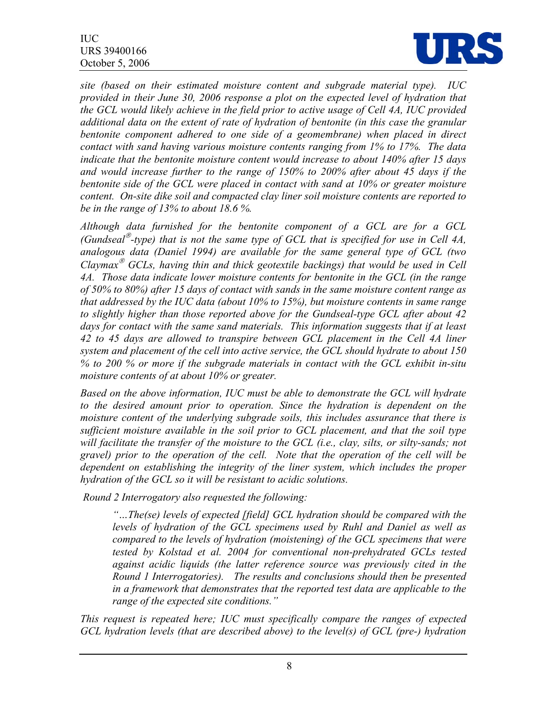

*site (based on their estimated moisture content and subgrade material type). IUC provided in their June 30, 2006 response a plot on the expected level of hydration that the GCL would likely achieve in the field prior to active usage of Cell 4A, IUC provided additional data on the extent of rate of hydration of bentonite (in this case the granular bentonite component adhered to one side of a geomembrane) when placed in direct contact with sand having various moisture contents ranging from 1% to 17%. The data indicate that the bentonite moisture content would increase to about 140% after 15 days and would increase further to the range of 150% to 200% after about 45 days if the bentonite side of the GCL were placed in contact with sand at 10% or greater moisture content. On-site dike soil and compacted clay liner soil moisture contents are reported to be in the range of 13% to about 18.6 %.* 

*Although data furnished for the bentonite component of a GCL are for a GCL (Gundseal*  $\mathcal{O}$ -type) that is not the same type of GCL that is specified for use in Cell 4A, *analogous data (Daniel 1994) are available for the same general type of GCL (two Claymax<sup>®</sup> GCLs, having thin and thick geotextile backings) that would be used in Cell 4A. Those data indicate lower moisture contents for bentonite in the GCL (in the range of 50% to 80%) after 15 days of contact with sands in the same moisture content range as that addressed by the IUC data (about 10% to 15%), but moisture contents in same range to slightly higher than those reported above for the Gundseal-type GCL after about 42*  days for contact with the same sand materials. This information suggests that if at least *42 to 45 days are allowed to transpire between GCL placement in the Cell 4A liner system and placement of the cell into active service, the GCL should hydrate to about 150 % to 200 % or more if the subgrade materials in contact with the GCL exhibit in-situ moisture contents of at about 10% or greater.* 

*Based on the above information, IUC must be able to demonstrate the GCL will hydrate to the desired amount prior to operation. Since the hydration is dependent on the moisture content of the underlying subgrade soils, this includes assurance that there is sufficient moisture available in the soil prior to GCL placement, and that the soil type*  will facilitate the transfer of the moisture to the GCL (*i.e., clay, silts, or silty-sands; not gravel) prior to the operation of the cell. Note that the operation of the cell will be dependent on establishing the integrity of the liner system, which includes the proper hydration of the GCL so it will be resistant to acidic solutions.* 

 *Round 2 Interrogatory also requested the following:* 

*"…The(se) levels of expected [field] GCL hydration should be compared with the levels of hydration of the GCL specimens used by Ruhl and Daniel as well as compared to the levels of hydration (moistening) of the GCL specimens that were tested by Kolstad et al. 2004 for conventional non-prehydrated GCLs tested against acidic liquids (the latter reference source was previously cited in the Round 1 Interrogatories). The results and conclusions should then be presented in a framework that demonstrates that the reported test data are applicable to the range of the expected site conditions."* 

*This request is repeated here; IUC must specifically compare the ranges of expected GCL hydration levels (that are described above) to the level(s) of GCL (pre-) hydration*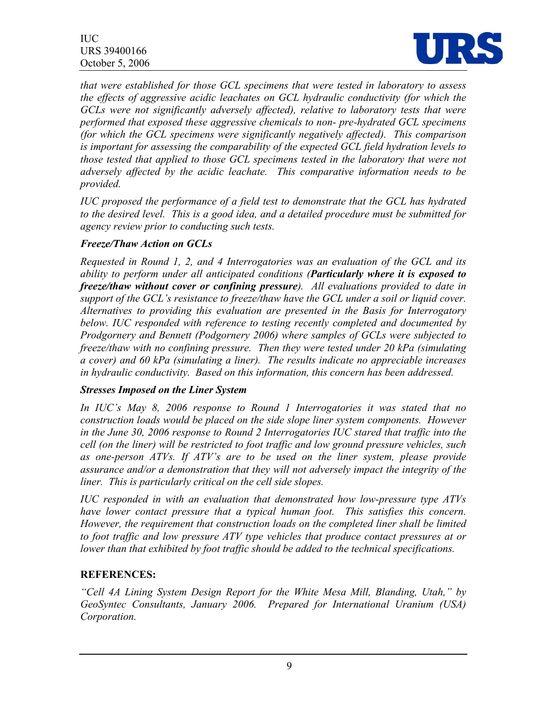IUC URS 39400166 October 5, 2006



*that were established for those GCL specimens that were tested in laboratory to assess the effects of aggressive acidic leachates on GCL hydraulic conductivity (for which the GCLs were not significantly adversely affected), relative to laboratory tests that were performed that exposed these aggressive chemicals to non- pre-hydrated GCL specimens (for which the GCL specimens were significantly negatively affected). This comparison is important for assessing the comparability of the expected GCL field hydration levels to those tested that applied to those GCL specimens tested in the laboratory that were not adversely affected by the acidic leachate. This comparative information needs to be provided.* 

*IUC proposed the performance of a field test to demonstrate that the GCL has hydrated to the desired level. This is a good idea, and a detailed procedure must be submitted for agency review prior to conducting such tests.* 

## *Freeze/Thaw Action on GCLs*

*Requested in Round 1, 2, and 4 Interrogatories was an evaluation of the GCL and its ability to perform under all anticipated conditions (Particularly where it is exposed to freeze/thaw without cover or confining pressure). All evaluations provided to date in support of the GCL's resistance to freeze/thaw have the GCL under a soil or liquid cover. Alternatives to providing this evaluation are presented in the Basis for Interrogatory below. IUC responded with reference to testing recently completed and documented by Prodgornery and Bennett (Podgornery 2006) where samples of GCLs were subjected to freeze/thaw with no confining pressure. Then they were tested under 20 kPa (simulating a cover) and 60 kPa (simulating a liner). The results indicate no appreciable increases in hydraulic conductivity. Based on this information, this concern has been addressed.* 

#### *Stresses Imposed on the Liner System*

*In IUC's May 8, 2006 response to Round 1 Interrogatories it was stated that no construction loads would be placed on the side slope liner system components. However in the June 30, 2006 response to Round 2 Interrogatories IUC stared that traffic into the cell (on the liner) will be restricted to foot traffic and low ground pressure vehicles, such as one-person ATVs. If ATV's are to be used on the liner system, please provide assurance and/or a demonstration that they will not adversely impact the integrity of the liner. This is particularly critical on the cell side slopes.* 

*IUC responded in with an evaluation that demonstrated how low-pressure type ATVs have lower contact pressure that a typical human foot. This satisfies this concern. However, the requirement that construction loads on the completed liner shall be limited to foot traffic and low pressure ATV type vehicles that produce contact pressures at or lower than that exhibited by foot traffic should be added to the technical specifications.* 

# **REFERENCES:**

*"Cell 4A Lining System Design Report for the White Mesa Mill, Blanding, Utah," by GeoSyntec Consultants, January 2006. Prepared for International Uranium (USA) Corporation.*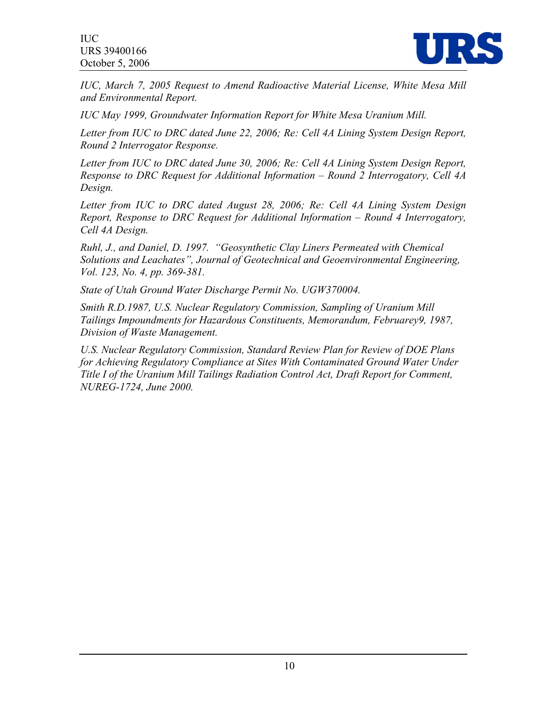

*IUC, March 7, 2005 Request to Amend Radioactive Material License, White Mesa Mill and Environmental Report.* 

*IUC May 1999, Groundwater Information Report for White Mesa Uranium Mill.* 

*Letter from IUC to DRC dated June 22, 2006; Re: Cell 4A Lining System Design Report, Round 2 Interrogator Response.* 

*Letter from IUC to DRC dated June 30, 2006; Re: Cell 4A Lining System Design Report, Response to DRC Request for Additional Information – Round 2 Interrogatory, Cell 4A Design.* 

*Letter from IUC to DRC dated August 28, 2006; Re: Cell 4A Lining System Design Report, Response to DRC Request for Additional Information – Round 4 Interrogatory, Cell 4A Design.* 

*Ruhl, J., and Daniel, D. 1997. "Geosynthetic Clay Liners Permeated with Chemical Solutions and Leachates", Journal of Geotechnical and Geoenvironmental Engineering, Vol. 123, No. 4, pp. 369-381.* 

*State of Utah Ground Water Discharge Permit No. UGW370004.* 

*Smith R.D.1987, U.S. Nuclear Regulatory Commission, Sampling of Uranium Mill Tailings Impoundments for Hazardous Constituents, Memorandum, Februarey9, 1987, Division of Waste Management.* 

*U.S. Nuclear Regulatory Commission, Standard Review Plan for Review of DOE Plans for Achieving Regulatory Compliance at Sites With Contaminated Ground Water Under Title I of the Uranium Mill Tailings Radiation Control Act, Draft Report for Comment, NUREG-1724, June 2000.*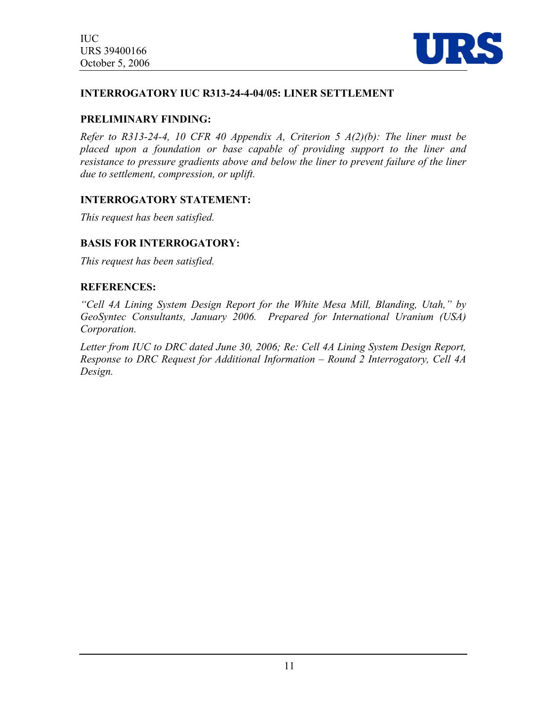

#### **INTERROGATORY IUC R313-24-4-04/05: LINER SETTLEMENT**

#### **PRELIMINARY FINDING:**

*Refer to R313-24-4, 10 CFR 40 Appendix A, Criterion 5 A(2)(b): The liner must be placed upon a foundation or base capable of providing support to the liner and resistance to pressure gradients above and below the liner to prevent failure of the liner due to settlement, compression, or uplift.*

#### **INTERROGATORY STATEMENT:**

*This request has been satisfied.* 

#### **BASIS FOR INTERROGATORY:**

*This request has been satisfied.* 

#### **REFERENCES:**

*"Cell 4A Lining System Design Report for the White Mesa Mill, Blanding, Utah," by GeoSyntec Consultants, January 2006. Prepared for International Uranium (USA) Corporation.* 

*Letter from IUC to DRC dated June 30, 2006; Re: Cell 4A Lining System Design Report, Response to DRC Request for Additional Information – Round 2 Interrogatory, Cell 4A Design.*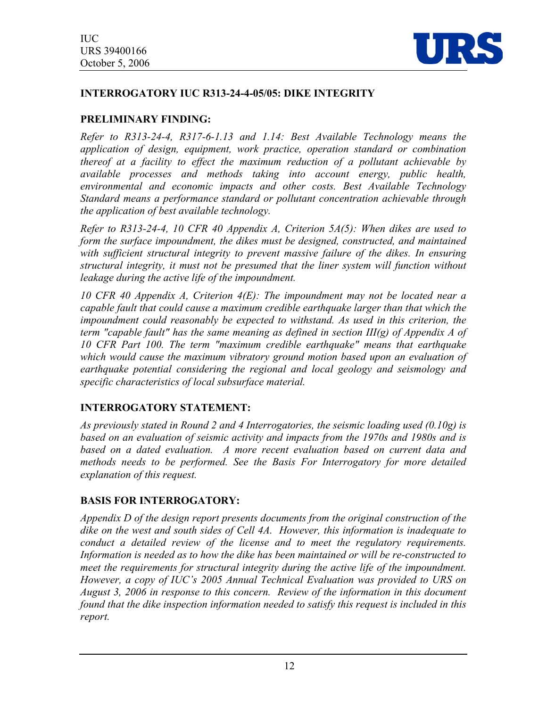

# **INTERROGATORY IUC R313-24-4-05/05: DIKE INTEGRITY**

# **PRELIMINARY FINDING:**

*Refer to R313-24-4, R317-6-1.13 and 1.14: Best Available Technology means the application of design, equipment, work practice, operation standard or combination thereof at a facility to effect the maximum reduction of a pollutant achievable by available processes and methods taking into account energy, public health, environmental and economic impacts and other costs. Best Available Technology Standard means a performance standard or pollutant concentration achievable through the application of best available technology.* 

*Refer to R313-24-4, 10 CFR 40 Appendix A, Criterion 5A(5): When dikes are used to form the surface impoundment, the dikes must be designed, constructed, and maintained with sufficient structural integrity to prevent massive failure of the dikes. In ensuring structural integrity, it must not be presumed that the liner system will function without leakage during the active life of the impoundment.* 

*10 CFR 40 Appendix A, Criterion 4(E): The impoundment may not be located near a capable fault that could cause a maximum credible earthquake larger than that which the impoundment could reasonably be expected to withstand. As used in this criterion, the term "capable fault" has the same meaning as defined in section III(g) of Appendix A of 10 CFR Part 100. The term "maximum credible earthquake" means that earthquake*  which would cause the maximum vibratory ground motion based upon an evaluation of *earthquake potential considering the regional and local geology and seismology and specific characteristics of local subsurface material.* 

# **INTERROGATORY STATEMENT:**

*As previously stated in Round 2 and 4 Interrogatories, the seismic loading used (0.10g) is based on an evaluation of seismic activity and impacts from the 1970s and 1980s and is based on a dated evaluation. A more recent evaluation based on current data and methods needs to be performed. See the Basis For Interrogatory for more detailed explanation of this request.* 

#### **BASIS FOR INTERROGATORY:**

*Appendix D of the design report presents documents from the original construction of the dike on the west and south sides of Cell 4A. However, this information is inadequate to conduct a detailed review of the license and to meet the regulatory requirements. Information is needed as to how the dike has been maintained or will be re-constructed to meet the requirements for structural integrity during the active life of the impoundment. However, a copy of IUC's 2005 Annual Technical Evaluation was provided to URS on August 3, 2006 in response to this concern. Review of the information in this document found that the dike inspection information needed to satisfy this request is included in this report.*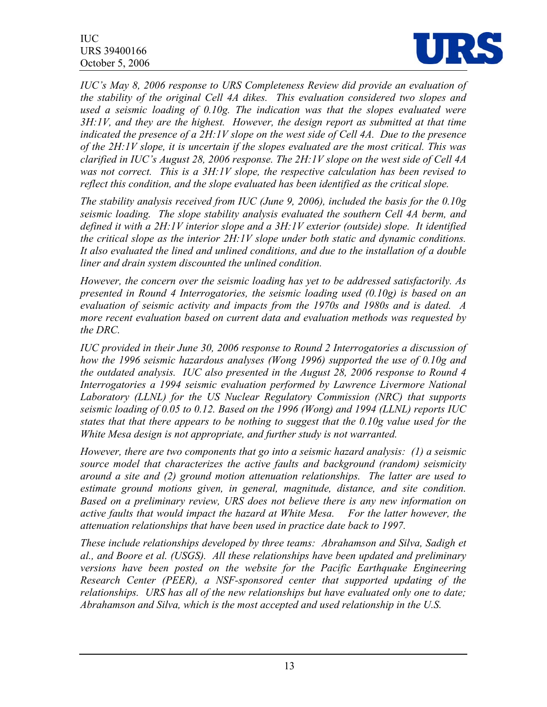

*IUC's May 8, 2006 response to URS Completeness Review did provide an evaluation of the stability of the original Cell 4A dikes. This evaluation considered two slopes and used a seismic loading of 0.10g. The indication was that the slopes evaluated were 3H:1V, and they are the highest. However, the design report as submitted at that time indicated the presence of a 2H:1V slope on the west side of Cell 4A. Due to the presence of the 2H:1V slope, it is uncertain if the slopes evaluated are the most critical. This was clarified in IUC's August 28, 2006 response. The 2H:1V slope on the west side of Cell 4A was not correct. This is a 3H:1V slope, the respective calculation has been revised to*  reflect this condition, and the slope evaluated has been identified as the critical slope.

*The stability analysis received from IUC (June 9, 2006), included the basis for the 0.10g seismic loading. The slope stability analysis evaluated the southern Cell 4A berm, and defined it with a 2H:1V interior slope and a 3H:1V exterior (outside) slope. It identified the critical slope as the interior 2H:1V slope under both static and dynamic conditions. It also evaluated the lined and unlined conditions, and due to the installation of a double liner and drain system discounted the unlined condition.* 

*However, the concern over the seismic loading has yet to be addressed satisfactorily. As presented in Round 4 Interrogatories, the seismic loading used (0.10g) is based on an evaluation of seismic activity and impacts from the 1970s and 1980s and is dated. A more recent evaluation based on current data and evaluation methods was requested by the DRC.* 

*IUC provided in their June 30, 2006 response to Round 2 Interrogatories a discussion of how the 1996 seismic hazardous analyses (Wong 1996) supported the use of 0.10g and the outdated analysis. IUC also presented in the August 28, 2006 response to Round 4 Interrogatories a 1994 seismic evaluation performed by Lawrence Livermore National Laboratory (LLNL) for the US Nuclear Regulatory Commission (NRC) that supports seismic loading of 0.05 to 0.12. Based on the 1996 (Wong) and 1994 (LLNL) reports IUC states that that there appears to be nothing to suggest that the 0.10g value used for the White Mesa design is not appropriate, and further study is not warranted.* 

*However, there are two components that go into a seismic hazard analysis: (1) a seismic source model that characterizes the active faults and background (random) seismicity around a site and (2) ground motion attenuation relationships. The latter are used to estimate ground motions given, in general, magnitude, distance, and site condition. Based on a preliminary review, URS does not believe there is any new information on active faults that would impact the hazard at White Mesa. For the latter however, the attenuation relationships that have been used in practice date back to 1997.* 

*These include relationships developed by three teams: Abrahamson and Silva, Sadigh et al., and Boore et al. (USGS). All these relationships have been updated and preliminary versions have been posted on the website for the Pacific Earthquake Engineering Research Center (PEER), a NSF-sponsored center that supported updating of the relationships. URS has all of the new relationships but have evaluated only one to date; Abrahamson and Silva, which is the most accepted and used relationship in the U.S.*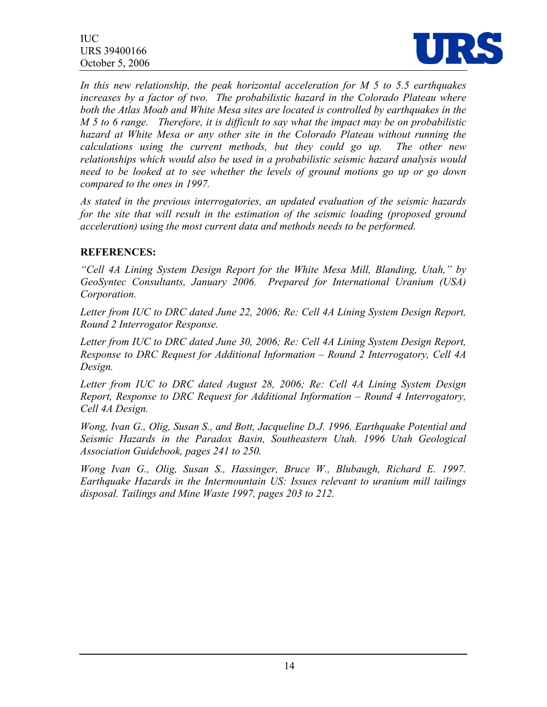

*In this new relationship, the peak horizontal acceleration for M 5 to 5.5 earthquakes increases by a factor of two. The probabilistic hazard in the Colorado Plateau where both the Atlas Moab and White Mesa sites are located is controlled by earthquakes in the M 5 to 6 range. Therefore, it is difficult to say what the impact may be on probabilistic hazard at White Mesa or any other site in the Colorado Plateau without running the calculations using the current methods, but they could go up. The other new relationships which would also be used in a probabilistic seismic hazard analysis would need to be looked at to see whether the levels of ground motions go up or go down compared to the ones in 1997.* 

*As stated in the previous interrogatories, an updated evaluation of the seismic hazards for the site that will result in the estimation of the seismic loading (proposed ground acceleration) using the most current data and methods needs to be performed.* 

## **REFERENCES:**

*"Cell 4A Lining System Design Report for the White Mesa Mill, Blanding, Utah," by GeoSyntec Consultants, January 2006. Prepared for International Uranium (USA) Corporation.* 

*Letter from IUC to DRC dated June 22, 2006; Re: Cell 4A Lining System Design Report, Round 2 Interrogator Response.* 

*Letter from IUC to DRC dated June 30, 2006; Re: Cell 4A Lining System Design Report, Response to DRC Request for Additional Information – Round 2 Interrogatory, Cell 4A Design.* 

*Letter from IUC to DRC dated August 28, 2006; Re: Cell 4A Lining System Design Report, Response to DRC Request for Additional Information – Round 4 Interrogatory, Cell 4A Design.* 

*Wong, Ivan G., Olig, Susan S., and Bott, Jacqueline D.J. 1996. Earthquake Potential and Seismic Hazards in the Paradox Basin, Southeastern Utah. 1996 Utah Geological Association Guidebook, pages 241 to 250.* 

*Wong Ivan G., Olig, Susan S., Hassinger, Bruce W., Blubaugh, Richard E. 1997. Earthquake Hazards in the Intermountain US: Issues relevant to uranium mill tailings disposal. Tailings and Mine Waste 1997, pages 203 to 212.*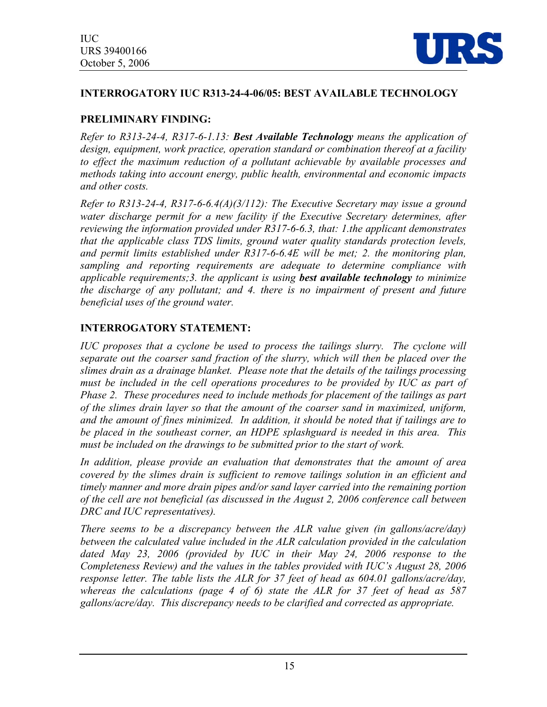

# **INTERROGATORY IUC R313-24-4-06/05: BEST AVAILABLE TECHNOLOGY**

# **PRELIMINARY FINDING:**

*Refer to R313-24-4, R317-6-1.13: Best Available Technology means the application of design, equipment, work practice, operation standard or combination thereof at a facility to effect the maximum reduction of a pollutant achievable by available processes and methods taking into account energy, public health, environmental and economic impacts and other costs.* 

*Refer to R313-24-4, R317-6-6.4(A)(3/112): The Executive Secretary may issue a ground*  water discharge permit for a new facility if the Executive Secretary determines, after *reviewing the information provided under R317-6-6.3, that: 1.the applicant demonstrates that the applicable class TDS limits, ground water quality standards protection levels, and permit limits established under R317-6-6.4E will be met; 2. the monitoring plan, sampling and reporting requirements are adequate to determine compliance with applicable requirements;3. the applicant is using best available technology to minimize the discharge of any pollutant; and 4. there is no impairment of present and future beneficial uses of the ground water.*

# **INTERROGATORY STATEMENT:**

*IUC proposes that a cyclone be used to process the tailings slurry. The cyclone will separate out the coarser sand fraction of the slurry, which will then be placed over the slimes drain as a drainage blanket. Please note that the details of the tailings processing*  must be included in the cell operations procedures to be provided by IUC as part of *Phase 2. These procedures need to include methods for placement of the tailings as part of the slimes drain layer so that the amount of the coarser sand in maximized, uniform, and the amount of fines minimized. In addition, it should be noted that if tailings are to be placed in the southeast corner, an HDPE splashguard is needed in this area. This must be included on the drawings to be submitted prior to the start of work.* 

*In addition, please provide an evaluation that demonstrates that the amount of area covered by the slimes drain is sufficient to remove tailings solution in an efficient and timely manner and more drain pipes and/or sand layer carried into the remaining portion of the cell are not beneficial (as discussed in the August 2, 2006 conference call between DRC and IUC representatives).* 

*There seems to be a discrepancy between the ALR value given (in gallons/acre/day) between the calculated value included in the ALR calculation provided in the calculation*  dated May 23, 2006 (provided by IUC in their May 24, 2006 response to the *Completeness Review) and the values in the tables provided with IUC's August 28, 2006 response letter. The table lists the ALR for 37 feet of head as 604.01 gallons/acre/day, whereas the calculations (page 4 of 6) state the ALR for 37 feet of head as 587 gallons/acre/day. This discrepancy needs to be clarified and corrected as appropriate.*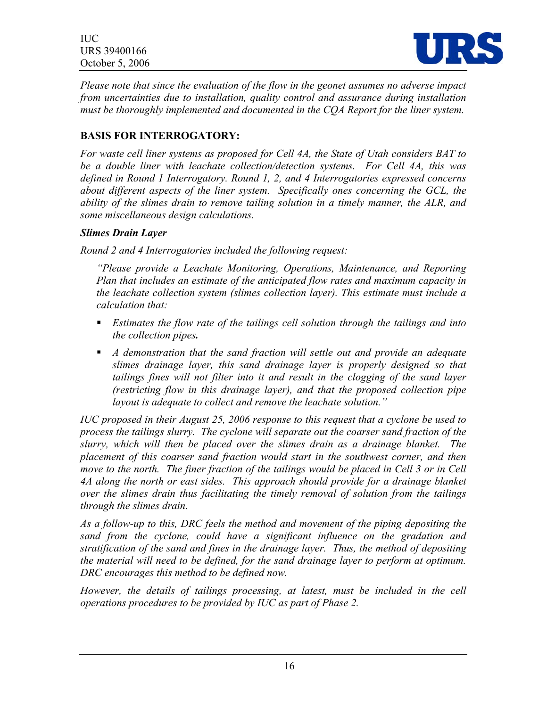

*Please note that since the evaluation of the flow in the geonet assumes no adverse impact from uncertainties due to installation, quality control and assurance during installation must be thoroughly implemented and documented in the CQA Report for the liner system.* 

# **BASIS FOR INTERROGATORY:**

*For waste cell liner systems as proposed for Cell 4A, the State of Utah considers BAT to be a double liner with leachate collection/detection systems. For Cell 4A, this was defined in Round 1 Interrogatory. Round 1, 2, and 4 Interrogatories expressed concerns about different aspects of the liner system. Specifically ones concerning the GCL, the ability of the slimes drain to remove tailing solution in a timely manner, the ALR, and some miscellaneous design calculations.* 

#### *Slimes Drain Layer*

*Round 2 and 4 Interrogatories included the following request:* 

*"Please provide a Leachate Monitoring, Operations, Maintenance, and Reporting Plan that includes an estimate of the anticipated flow rates and maximum capacity in the leachate collection system (slimes collection layer). This estimate must include a calculation that:* 

- *Estimates the flow rate of the tailings cell solution through the tailings and into the collection pipes.*
- *A demonstration that the sand fraction will settle out and provide an adequate slimes drainage layer, this sand drainage layer is properly designed so that tailings fines will not filter into it and result in the clogging of the sand layer (restricting flow in this drainage layer), and that the proposed collection pipe layout is adequate to collect and remove the leachate solution."*

*IUC proposed in their August 25, 2006 response to this request that a cyclone be used to process the tailings slurry. The cyclone will separate out the coarser sand fraction of the slurry, which will then be placed over the slimes drain as a drainage blanket. The placement of this coarser sand fraction would start in the southwest corner, and then move to the north. The finer fraction of the tailings would be placed in Cell 3 or in Cell 4A along the north or east sides. This approach should provide for a drainage blanket over the slimes drain thus facilitating the timely removal of solution from the tailings through the slimes drain.* 

*As a follow-up to this, DRC feels the method and movement of the piping depositing the sand from the cyclone, could have a significant influence on the gradation and stratification of the sand and fines in the drainage layer. Thus, the method of depositing the material will need to be defined, for the sand drainage layer to perform at optimum. DRC encourages this method to be defined now.* 

*However, the details of tailings processing, at latest, must be included in the cell operations procedures to be provided by IUC as part of Phase 2.*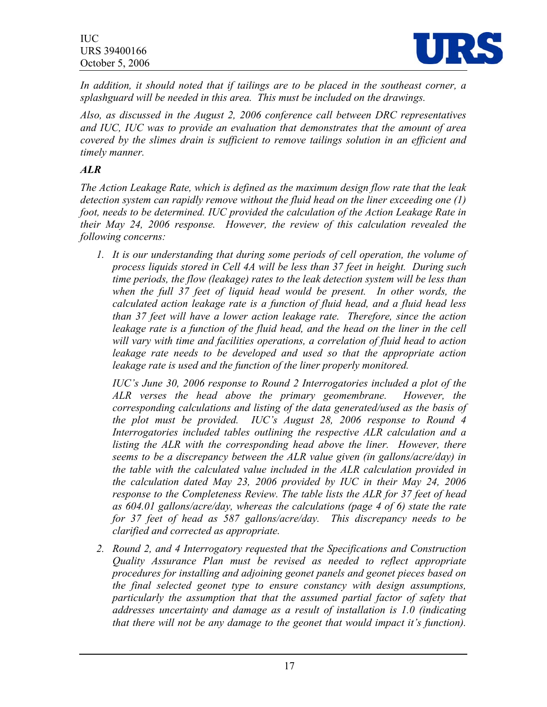

*In addition, it should noted that if tailings are to be placed in the southeast corner, a splashguard will be needed in this area. This must be included on the drawings.* 

*Also, as discussed in the August 2, 2006 conference call between DRC representatives and IUC, IUC was to provide an evaluation that demonstrates that the amount of area covered by the slimes drain is sufficient to remove tailings solution in an efficient and timely manner.*

# *ALR*

*The Action Leakage Rate, which is defined as the maximum design flow rate that the leak detection system can rapidly remove without the fluid head on the liner exceeding one (1) foot, needs to be determined. IUC provided the calculation of the Action Leakage Rate in their May 24, 2006 response. However, the review of this calculation revealed the following concerns:* 

*1. It is our understanding that during some periods of cell operation, the volume of process liquids stored in Cell 4A will be less than 37 feet in height. During such time periods, the flow (leakage) rates to the leak detection system will be less than*  when the full 37 feet of liquid head would be present. In other words, the *calculated action leakage rate is a function of fluid head, and a fluid head less than 37 feet will have a lower action leakage rate. Therefore, since the action leakage rate is a function of the fluid head, and the head on the liner in the cell will vary with time and facilities operations, a correlation of fluid head to action*  leakage rate needs to be developed and used so that the appropriate action *leakage rate is used and the function of the liner properly monitored.* 

*IUC's June 30, 2006 response to Round 2 Interrogatories included a plot of the ALR verses the head above the primary geomembrane. However, the corresponding calculations and listing of the data generated/used as the basis of the plot must be provided. IUC's August 28, 2006 response to Round 4 Interrogatories included tables outlining the respective ALR calculation and a listing the ALR with the corresponding head above the liner. However, there seems to be a discrepancy between the ALR value given (in gallons/acre/day) in the table with the calculated value included in the ALR calculation provided in the calculation dated May 23, 2006 provided by IUC in their May 24, 2006 response to the Completeness Review. The table lists the ALR for 37 feet of head as 604.01 gallons/acre/day, whereas the calculations (page 4 of 6) state the rate for 37 feet of head as 587 gallons/acre/day. This discrepancy needs to be clarified and corrected as appropriate.* 

*2. Round 2, and 4 Interrogatory requested that the Specifications and Construction Quality Assurance Plan must be revised as needed to reflect appropriate procedures for installing and adjoining geonet panels and geonet pieces based on the final selected geonet type to ensure constancy with design assumptions, particularly the assumption that that the assumed partial factor of safety that addresses uncertainty and damage as a result of installation is 1.0 (indicating that there will not be any damage to the geonet that would impact it's function).*